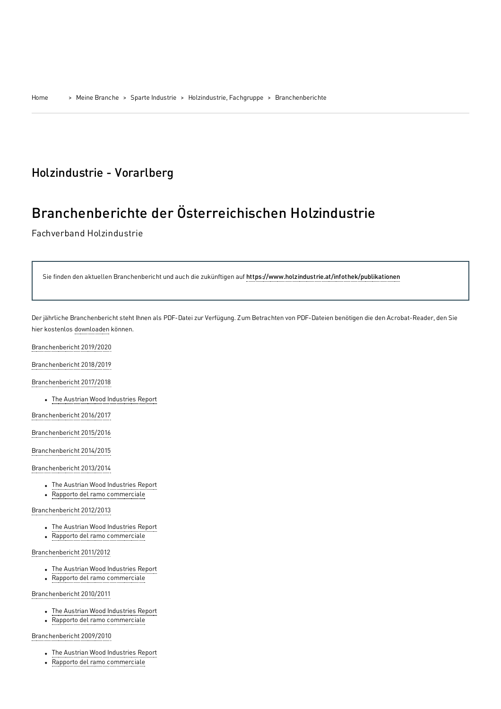## Holzindustrie - Vorarlberg

# Branchenberichte der Österreichischen Holzindustrie

Fachverband Holzindustrie

Sie finden den aktuellen Branchenbericht und auch die zukünftigen auf <https://www.holzindustrie.at/infothek/publikationen>

Der jährliche Branchenbericht steht Ihnen als PDF-Datei zur Verfügung. Zum Betrachten von PDF-Dateien benötigen die den Acrobat-Reader, den Sie hier kostenlos [downloaden](http://www.adobe.de/products/acrobat/readstep.html) können.

[Branchenbericht](https://www.wko.at/branchen/industrie/holzindustrie/branchenbericht-2019-2020.pdf) 2019/2020

[Branchenbericht](https://www.wko.at/branchen/vbg/industrie/holzindustrie/branchenbericht-2018-2019.pdf) 2018/2019

[Branchenbericht](https://www.wko.at/branchen/vbg/industrie/holzindustrie/branchenbericht-2017-2018.pdf) 2017/2018

The Austrian Wood Industries Report

[Branchenbericht](https://www.wko.at/branchen/industrie/holzindustrie/branchenbericht-2016-2017.pdf) 2016/2017

[Branchenbericht](https://www.wko.at/branchen/industrie/holzindustrie/Branchenbericht-2015-2016.pdf) 2015/2016

[Branchenbericht](https://www.wko.at/branchen/industrie/holzindustrie/Branchenbericht-2014-2015.pdf) 2014/2015

Branchenbericht 2013/2014

- The Austrian Wood Industries Report
- Rapporto del ramo commerciale

[Branchenbericht](https://www.wko.at/branchen/industrie/holzindustrie/Branchenbericht_Holzindustrie_2012-2013.pdf) 2012/2013

- The Austrian Wood [Industries](https://www.wko.at/branchen/vbg/industrie/holzindustrie/Branchenbericht_Holzindustrie_2012-2013_englisch.pdf) Report
- Rapporto del ramo [commerciale](https://www.wko.at/branchen/vbg/industrie/holzindustrie/Branchenbericht_Holzindustrie_2012-2013_italienisch.pdf)

[Branchenbericht](https://www.wko.at/branchen/industrie/holzindustrie/Branchenbericht-Holzindustrie_2011-2012.pdf) 2011/2012

- The Austrian Wood [Industries](https://www.wko.at/branchen/vbg/industrie/holzindustrie/Branchenbericht-Holzindustrie_2011-2012_engl.pdf) Report
- Rapporto del ramo [commerciale](https://www.wko.at/branchen/vbg/industrie/holzindustrie/Branchenbericht-Holzindustrie_2011-2012_ital.pdf)

[Branchenbericht](https://www.wko.at/branchen/industrie/holzindustrie/Branchenbericht-Holzindustrie_2010-2011.pdf) 2010/2011

- The Austrian Wood [Industries](https://www.wko.at/branchen/vbg/industrie/holzindustrie/Branchenbericht-Holzindustrie_2010-2011_engl.pdf) Report
- Rapporto del ramo [commerciale](https://www.wko.at/branchen/vbg/industrie/holzindustrie/Branchenbericht-Holzindustrie_2010-2011_ital.pdf)

#### [Branchenbericht](https://www.wko.at/branchen/industrie/holzindustrie/Branchenbericht-Holzindustrie_2009-2010.pdf) 2009/2010

- The Austrian Wood [Industries](https://www.wko.at/branchen/vbg/industrie/holzindustrie/Branchenbericht-Holzindustrie_2009-2010_engl.pdf) Report
- Rapporto del ramo [commerciale](https://www.wko.at/branchen/industrie/holzindustrie/Branchenbericht-Holzindustrie_2009-2010_ital.pdf)